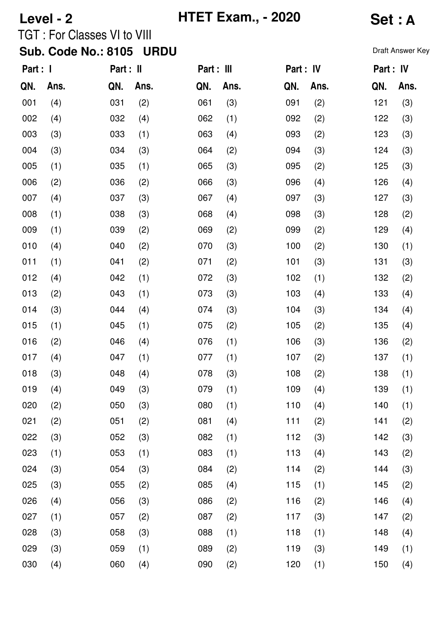| Level - 2                                 |      |                                    |      |            | <b>HTET Exam., - 2020</b> | <b>Set: A</b> |      |                  |      |  |
|-------------------------------------------|------|------------------------------------|------|------------|---------------------------|---------------|------|------------------|------|--|
|                                           |      | <b>TGT: For Classes VI to VIII</b> |      |            |                           |               |      |                  |      |  |
| <b>Sub. Code No.: 8105</b><br><b>URDU</b> |      |                                    |      |            |                           |               |      | Draft Answer Key |      |  |
| Part : I                                  |      | Part : II                          |      | Part : III |                           | Part : IV     |      | Part : IV        |      |  |
| QN.                                       | Ans. | QN.                                | Ans. | QN.        | Ans.                      | QN.           | Ans. | QN.              | Ans. |  |
| 001                                       | (4)  | 031                                | (2)  | 061        | (3)                       | 091           | (2)  | 121              | (3)  |  |
| 002                                       | (4)  | 032                                | (4)  | 062        | (1)                       | 092           | (2)  | 122              | (3)  |  |
| 003                                       | (3)  | 033                                | (1)  | 063        | (4)                       | 093           | (2)  | 123              | (3)  |  |
| 004                                       | (3)  | 034                                | (3)  | 064        | (2)                       | 094           | (3)  | 124              | (3)  |  |
| 005                                       | (1)  | 035                                | (1)  | 065        | (3)                       | 095           | (2)  | 125              | (3)  |  |
| 006                                       | (2)  | 036                                | (2)  | 066        | (3)                       | 096           | (4)  | 126              | (4)  |  |
| 007                                       | (4)  | 037                                | (3)  | 067        | (4)                       | 097           | (3)  | 127              | (3)  |  |
| 008                                       | (1)  | 038                                | (3)  | 068        | (4)                       | 098           | (3)  | 128              | (2)  |  |
| 009                                       | (1)  | 039                                | (2)  | 069        | (2)                       | 099           | (2)  | 129              | (4)  |  |
| 010                                       | (4)  | 040                                | (2)  | 070        | (3)                       | 100           | (2)  | 130              | (1)  |  |
| 011                                       | (1)  | 041                                | (2)  | 071        | (2)                       | 101           | (3)  | 131              | (3)  |  |
| 012                                       | (4)  | 042                                | (1)  | 072        | (3)                       | 102           | (1)  | 132              | (2)  |  |
| 013                                       | (2)  | 043                                | (1)  | 073        | (3)                       | 103           | (4)  | 133              | (4)  |  |
| 014                                       | (3)  | 044                                | (4)  | 074        | (3)                       | 104           | (3)  | 134              | (4)  |  |
| 015                                       | (1)  | 045                                | (1)  | 075        | (2)                       | 105           | (2)  | 135              | (4)  |  |
| 016                                       | (2)  | 046                                | (4)  | 076        | (1)                       | 106           | (3)  | 136              | (2)  |  |
| 017                                       | (4)  | 047                                | (1)  | 077        | (1)                       | 107           | (2)  | 137              | (1)  |  |
| 018                                       | (3)  | 048                                | (4)  | 078        | (3)                       | 108           | (2)  | 138              | (1)  |  |
| 019                                       | (4)  | 049                                | (3)  | 079        | (1)                       | 109           | (4)  | 139              | (1)  |  |
| 020                                       | (2)  | 050                                | (3)  | 080        | (1)                       | 110           | (4)  | 140              | (1)  |  |
| 021                                       | (2)  | 051                                | (2)  | 081        | (4)                       | 111           | (2)  | 141              | (2)  |  |
| 022                                       | (3)  | 052                                | (3)  | 082        | (1)                       | 112           | (3)  | 142              | (3)  |  |
| 023                                       | (1)  | 053                                | (1)  | 083        | (1)                       | 113           | (4)  | 143              | (2)  |  |
| 024                                       | (3)  | 054                                | (3)  | 084        | (2)                       | 114           | (2)  | 144              | (3)  |  |
| 025                                       | (3)  | 055                                | (2)  | 085        | (4)                       | 115           | (1)  | 145              | (2)  |  |
| 026                                       | (4)  | 056                                | (3)  | 086        | (2)                       | 116           | (2)  | 146              | (4)  |  |
| 027                                       | (1)  | 057                                | (2)  | 087        | (2)                       | 117           | (3)  | 147              | (2)  |  |
| 028                                       | (3)  | 058                                | (3)  | 088        | (1)                       | 118           | (1)  | 148              | (4)  |  |
| 029                                       | (3)  | 059                                | (1)  | 089        | (2)                       | 119           | (3)  | 149              | (1)  |  |
| 030                                       | (4)  | 060                                | (4)  | 090        | (2)                       | 120           | (1)  | 150              | (4)  |  |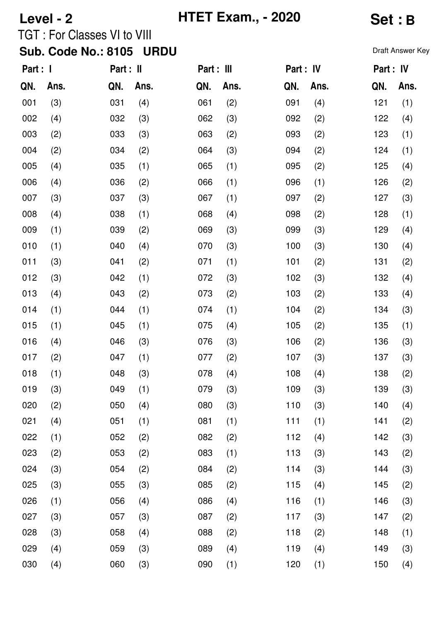| Level - 2                                 |      |                                    |      | <b>HTET Exam., - 2020</b> |      | Set : B   |      |                  |      |  |
|-------------------------------------------|------|------------------------------------|------|---------------------------|------|-----------|------|------------------|------|--|
|                                           |      | <b>TGT: For Classes VI to VIII</b> |      |                           |      |           |      |                  |      |  |
| <b>Sub. Code No.: 8105</b><br><b>URDU</b> |      |                                    |      |                           |      |           |      | Draft Answer Key |      |  |
| Part : I                                  |      | Part : II                          |      | Part : III                |      | Part : IV |      | Part : IV        |      |  |
| QN.                                       | Ans. | QN.                                | Ans. | QN.                       | Ans. | QN.       | Ans. | QN.              | Ans. |  |
| 001                                       | (3)  | 031                                | (4)  | 061                       | (2)  | 091       | (4)  | 121              | (1)  |  |
| 002                                       | (4)  | 032                                | (3)  | 062                       | (3)  | 092       | (2)  | 122              | (4)  |  |
| 003                                       | (2)  | 033                                | (3)  | 063                       | (2)  | 093       | (2)  | 123              | (1)  |  |
| 004                                       | (2)  | 034                                | (2)  | 064                       | (3)  | 094       | (2)  | 124              | (1)  |  |
| 005                                       | (4)  | 035                                | (1)  | 065                       | (1)  | 095       | (2)  | 125              | (4)  |  |
| 006                                       | (4)  | 036                                | (2)  | 066                       | (1)  | 096       | (1)  | 126              | (2)  |  |
| 007                                       | (3)  | 037                                | (3)  | 067                       | (1)  | 097       | (2)  | 127              | (3)  |  |
| 008                                       | (4)  | 038                                | (1)  | 068                       | (4)  | 098       | (2)  | 128              | (1)  |  |
| 009                                       | (1)  | 039                                | (2)  | 069                       | (3)  | 099       | (3)  | 129              | (4)  |  |
| 010                                       | (1)  | 040                                | (4)  | 070                       | (3)  | 100       | (3)  | 130              | (4)  |  |
| 011                                       | (3)  | 041                                | (2)  | 071                       | (1)  | 101       | (2)  | 131              | (2)  |  |
| 012                                       | (3)  | 042                                | (1)  | 072                       | (3)  | 102       | (3)  | 132              | (4)  |  |
| 013                                       | (4)  | 043                                | (2)  | 073                       | (2)  | 103       | (2)  | 133              | (4)  |  |
| 014                                       | (1)  | 044                                | (1)  | 074                       | (1)  | 104       | (2)  | 134              | (3)  |  |
| 015                                       | (1)  | 045                                | (1)  | 075                       | (4)  | 105       | (2)  | 135              | (1)  |  |
| 016                                       | (4)  | 046                                | (3)  | 076                       | (3)  | 106       | (2)  | 136              | (3)  |  |
| 017                                       | (2)  | 047                                | (1)  | 077                       | (2)  | 107       | (3)  | 137              | (3)  |  |
| 018                                       | (1)  | 048                                | (3)  | 078                       | (4)  | 108       | (4)  | 138              | (2)  |  |
| 019                                       | (3)  | 049                                | (1)  | 079                       | (3)  | 109       | (3)  | 139              | (3)  |  |
| 020                                       | (2)  | 050                                | (4)  | 080                       | (3)  | 110       | (3)  | 140              | (4)  |  |
| 021                                       | (4)  | 051                                | (1)  | 081                       | (1)  | 111       | (1)  | 141              | (2)  |  |
| 022                                       | (1)  | 052                                | (2)  | 082                       | (2)  | 112       | (4)  | 142              | (3)  |  |
| 023                                       | (2)  | 053                                | (2)  | 083                       | (1)  | 113       | (3)  | 143              | (2)  |  |
| 024                                       | (3)  | 054                                | (2)  | 084                       | (2)  | 114       | (3)  | 144              | (3)  |  |
| 025                                       | (3)  | 055                                | (3)  | 085                       | (2)  | 115       | (4)  | 145              | (2)  |  |
| 026                                       | (1)  | 056                                | (4)  | 086                       | (4)  | 116       | (1)  | 146              | (3)  |  |
| 027                                       | (3)  | 057                                | (3)  | 087                       | (2)  | 117       | (3)  | 147              | (2)  |  |
| 028                                       | (3)  | 058                                | (4)  | 088                       | (2)  | 118       | (2)  | 148              | (1)  |  |
| 029                                       | (4)  | 059                                | (3)  | 089                       | (4)  | 119       | (4)  | 149              | (3)  |  |
| 030                                       | (4)  | 060                                | (3)  | 090                       | (1)  | 120       | (1)  | 150              | (4)  |  |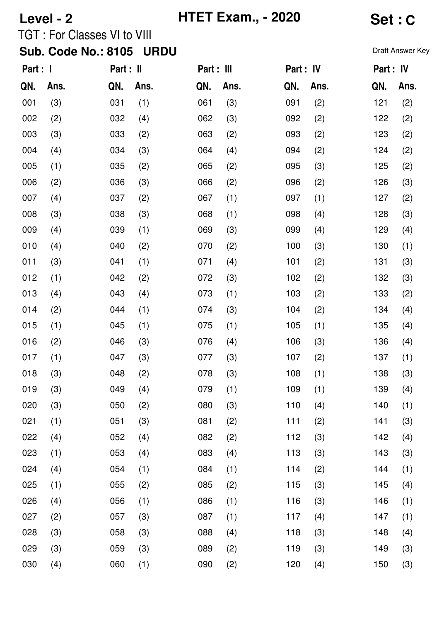| Level - 2 |      |                                    |             |            | <b>HTET Exam., - 2020</b> | Set : C   |      |                  |      |  |
|-----------|------|------------------------------------|-------------|------------|---------------------------|-----------|------|------------------|------|--|
|           |      | <b>TGT: For Classes VI to VIII</b> |             |            |                           |           |      |                  |      |  |
|           |      | <b>Sub. Code No.: 8105</b>         | <b>URDU</b> |            |                           |           |      | Draft Answer Key |      |  |
| Part : I  |      | Part : II                          |             | Part : III |                           | Part : IV |      | Part : IV        |      |  |
| QN.       | Ans. | QN.                                | Ans.        | QN.        | Ans.                      | QN.       | Ans. | QN.              | Ans. |  |
| 001       | (3)  | 031                                | (1)         | 061        | (3)                       | 091       | (2)  | 121              | (2)  |  |
| 002       | (2)  | 032                                | (4)         | 062        | (3)                       | 092       | (2)  | 122              | (2)  |  |
| 003       | (3)  | 033                                | (2)         | 063        | (2)                       | 093       | (2)  | 123              | (2)  |  |
| 004       | (4)  | 034                                | (3)         | 064        | (4)                       | 094       | (2)  | 124              | (2)  |  |
| 005       | (1)  | 035                                | (2)         | 065        | (2)                       | 095       | (3)  | 125              | (2)  |  |
| 006       | (2)  | 036                                | (3)         | 066        | (2)                       | 096       | (2)  | 126              | (3)  |  |
| 007       | (4)  | 037                                | (2)         | 067        | (1)                       | 097       | (1)  | 127              | (2)  |  |
| 008       | (3)  | 038                                | (3)         | 068        | (1)                       | 098       | (4)  | 128              | (3)  |  |
| 009       | (4)  | 039                                | (1)         | 069        | (3)                       | 099       | (4)  | 129              | (4)  |  |
| 010       | (4)  | 040                                | (2)         | 070        | (2)                       | 100       | (3)  | 130              | (1)  |  |
| 011       | (3)  | 041                                | (1)         | 071        | (4)                       | 101       | (2)  | 131              | (3)  |  |
| 012       | (1)  | 042                                | (2)         | 072        | (3)                       | 102       | (2)  | 132              | (3)  |  |
| 013       | (4)  | 043                                | (4)         | 073        | (1)                       | 103       | (2)  | 133              | (2)  |  |
| 014       | (2)  | 044                                | (1)         | 074        | (3)                       | 104       | (2)  | 134              | (4)  |  |
| 015       | (1)  | 045                                | (1)         | 075        | (1)                       | 105       | (1)  | 135              | (4)  |  |
| 016       | (2)  | 046                                | (3)         | 076        | (4)                       | 106       | (3)  | 136              | (4)  |  |
| 017       | (1)  | 047                                | (3)         | 077        | (3)                       | 107       | (2)  | 137              | (1)  |  |
| 018       | (3)  | 048                                | (2)         | 078        | (3)                       | 108       | (1)  | 138              | (3)  |  |
| 019       | (3)  | 049                                | (4)         | 079        | (1)                       | 109       | (1)  | 139              | (4)  |  |
| 020       | (3)  | 050                                | (2)         | 080        | (3)                       | 110       | (4)  | 140              | (1)  |  |
| 021       | (1)  | 051                                | (3)         | 081        | (2)                       | 111       | (2)  | 141              | (3)  |  |
| 022       | (4)  | 052                                | (4)         | 082        | (2)                       | 112       | (3)  | 142              | (4)  |  |
| 023       | (1)  | 053                                | (4)         | 083        | (4)                       | 113       | (3)  | 143              | (3)  |  |
| 024       | (4)  | 054                                | (1)         | 084        | (1)                       | 114       | (2)  | 144              | (1)  |  |
| 025       | (1)  | 055                                | (2)         | 085        | (2)                       | 115       | (3)  | 145              | (4)  |  |
| 026       | (4)  | 056                                | (1)         | 086        | (1)                       | 116       | (3)  | 146              | (1)  |  |
| 027       | (2)  | 057                                | (3)         | 087        | (1)                       | 117       | (4)  | 147              | (1)  |  |
| 028       | (3)  | 058                                | (3)         | 088        | (4)                       | 118       | (3)  | 148              | (4)  |  |
| 029       | (3)  | 059                                | (3)         | 089        | (2)                       | 119       | (3)  | 149              | (3)  |  |
| 030       | (4)  | 060                                | (1)         | 090        | (2)                       | 120       | (4)  | 150              | (3)  |  |